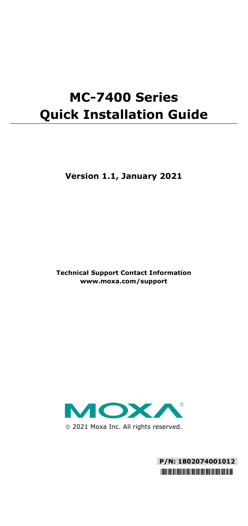# **MC-7400 Series Quick Installation Guide**

**Version 1.1, January 2021**

**Technical Support Contact Information www.moxa.com/support**



2021 Moxa Inc. All rights reserved.

**P/N: 1802074001012** \*1802074001012\*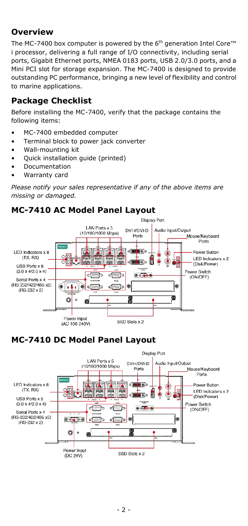### **Overview**

The MC-7400 box computer is powered by the 6<sup>th</sup> generation Intel Core™ i processor, delivering a full range of I/O connectivity, including serial ports, Gigabit Ethernet ports, NMEA 0183 ports, USB 2.0/3.0 ports, and a Mini PCI slot for storage expansion. The MC-7400 is designed to provide outstanding PC performance, bringing a new level of flexibility and control to marine applications.

### **Package Checklist**

Before installing the MC-7400, verify that the package contains the following items:

- MC-7400 embedded computer
- Terminal block to power jack converter
- Wall-mounting kit
- Quick installation guide (printed)
- Documentation
- Warranty card

*Please notify your sales representative if any of the above items are missing or damaged.*

### **MC-7410 AC Model Panel Layout**



# **MC-7410 DC Model Panel Layout**

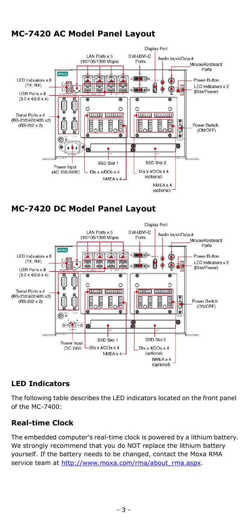# **MC-7420 AC Model Panel Layout**



**MC-7420 DC Model Panel Layout**



### **LED Indicators**

The following table describes the LED indicators located on the front panel of the MC-7400:

#### **Real-time Clock**

The embedded computer's real-time clock is powered by a lithium battery. We strongly recommend that you do NOT replace the lithium battery yourself. If the battery needs to be changed, contact the Moxa RMA service team a[t http://www.moxa.com/rma/about\\_rma.aspx.](http://www.moxa.com/rma/about_rma.aspx)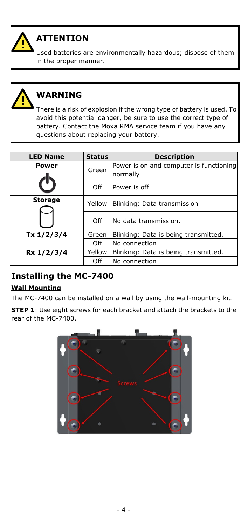

# **ATTENTION**

Used batteries are environmentally hazardous; dispose of them in the proper manner.



# **WARNING**

There is a risk of explosion if the wrong type of battery is used. To avoid this potential danger, be sure to use the correct type of battery. Contact the Moxa RMA service team if you have any questions about replacing your battery.

| <b>LED Name</b> | <b>Status</b> | <b>Description</b>                                  |  |
|-----------------|---------------|-----------------------------------------------------|--|
| Power           | Green         | Power is on and computer is functioning<br>normally |  |
|                 | Off           | Power is off                                        |  |
| <b>Storage</b>  | Yellow        | Blinking: Data transmission                         |  |
|                 | Off           | No data transmission.                               |  |
| Tx 1/2/3/4      | Green         | Blinking: Data is being transmitted.                |  |
|                 | Off           | No connection                                       |  |
| Rx 1/2/3/4      | Yellow        | Blinking: Data is being transmitted.                |  |
|                 | Off           | No connection                                       |  |

### **Installing the MC-7400**

### **Wall Mounting**

The MC-7400 can be installed on a wall by using the wall-mounting kit.

**STEP 1**: Use eight screws for each bracket and attach the brackets to the rear of the MC-7400.

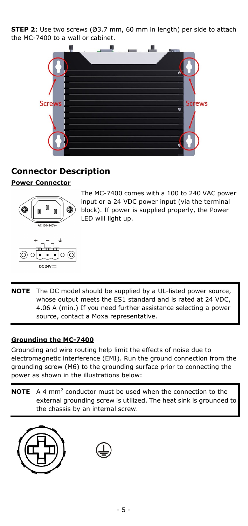**STEP 2**: Use two screws (Ø3.7 mm, 60 mm in length) per side to attach the MC-7400 to a wall or cabinet.



### **Connector Description**

#### **Power Connector**





The MC-7400 comes with a 100 to 240 VAC power input or a 24 VDC power input (via the terminal block). If power is supplied properly, the Power LED will light up.

**NOTE** The DC model should be supplied by a UL-listed power source, whose output meets the ES1 standard and is rated at 24 VDC, 4.06 A (min.) If you need further assistance selecting a power source, contact a Moxa representative.

#### **Grounding the MC-7400**

Grounding and wire routing help limit the effects of noise due to electromagnetic interference (EMI). Run the ground connection from the grounding screw (M6) to the grounding surface prior to connecting the power as shown in the illustrations below:

**NOTE** A 4 mm2 conductor must be used when the connection to the external grounding screw is utilized. The heat sink is grounded to the chassis by an internal screw.



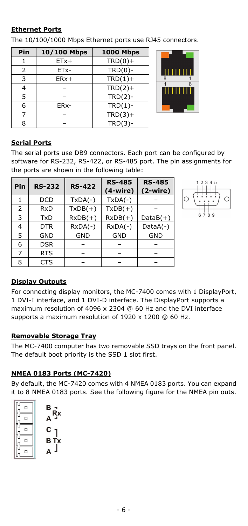#### **Ethernet Ports**

The 10/100/1000 Mbps Ethernet ports use RJ45 connectors.

| Pin            | 10/100 Mbps | <b>1000 Mbps</b> |  |
|----------------|-------------|------------------|--|
|                | $ETx+$      | $TRD(0) +$       |  |
| $\overline{2}$ | ETx-        | $TRD(0)$ -       |  |
| 3              | $ERx+$      | $TRD(1) +$       |  |
| 4              |             | $TRD(2) +$       |  |
| 5              |             | $TRD(2)-$        |  |
| 6              | ERx-        | $TRD(1)$ -       |  |
|                |             | $TRD(3) +$       |  |
| 8              |             | $TRD(3)-$        |  |



#### **Serial Ports**

The serial ports use DB9 connectors. Each port can be configured by software for RS-232, RS-422, or RS-485 port. The pin assignments for the ports are shown in the following table:

| Pin | <b>RS-232</b> | <b>RS-422</b> | <b>RS-485</b><br>$(4-wire)$ | <b>RS-485</b><br>$(2-wire)$ |
|-----|---------------|---------------|-----------------------------|-----------------------------|
|     | <b>DCD</b>    | $TxDA(-)$     | $TxDA(-)$                   |                             |
| 2   | <b>RxD</b>    | $TxDB(+)$     | $TxDB(+)$                   |                             |
| 3   | <b>TxD</b>    | $RxDB(+)$     | $RxDB(+)$                   | $DataB(+)$                  |
| 4   | <b>DTR</b>    | $RxDA(-)$     | $RxDA(-)$                   | $DataA(-)$                  |
| 5   | <b>GND</b>    | <b>GND</b>    | <b>GND</b>                  | <b>GND</b>                  |
| 6   | <b>DSR</b>    |               |                             |                             |
| 7   | <b>RTS</b>    |               |                             |                             |
| 8   | <b>CTS</b>    |               |                             |                             |



#### **Display Outputs**

For connecting display monitors, the MC-7400 comes with 1 DisplayPort, 1 DVI-I interface, and 1 DVI-D interface. The DisplayPort supports a maximum resolution of 4096 x 2304 @ 60 Hz and the DVI interface supports a maximum resolution of 1920 x 1200 @ 60 Hz.

#### **Removable Storage Tray**

The MC-7400 computer has two removable SSD trays on the front panel. The default boot priority is the SSD 1 slot first.

#### **NMEA 0183 Ports (MC-7420)**

By default, the MC-7420 comes with 4 NMEA 0183 ports. You can expand it to 8 NMEA 0183 ports. See the following figure for the NMEA pin outs.